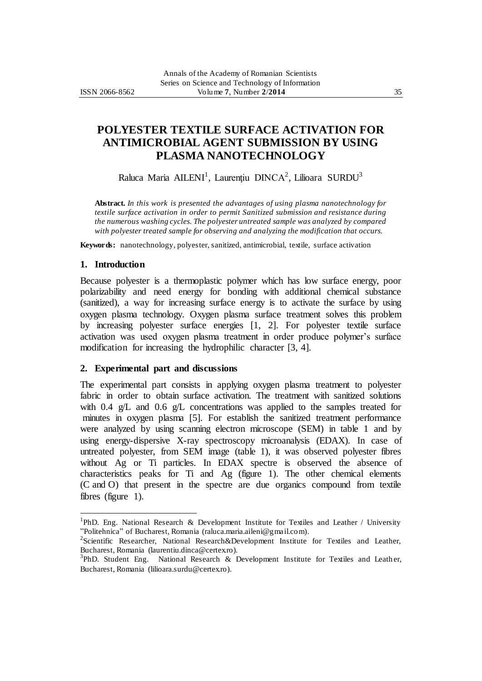# **POLYESTER TEXTILE SURFACE ACTIVATION FOR ANTIMICROBIAL AGENT SUBMISSION BY USING PLASMA NANOTECHNOLOGY**

Raluca Maria AILENI<sup>1</sup>, Laurențiu DINCA<sup>2</sup>, Lilioara SURDU<sup>3</sup>

**Abstract.** *In this work is presented the advantages of using plasma nanotechnology for textile surface activation in order to permit Sanitized submission and resistance during the numerous washing cycles. The polyester untreated sample was analyzed by compared with polyester treated sample for observing and analyzing the modification that occurs.*

**Keywords:** nanotechnology, polyester, sanitized, antimicrobial, textile, surface activation

## **1. Introduction**

 $\overline{a}$ 

Because polyester is a thermoplastic polymer which has low surface energy, poor polarizability and need energy for bonding with additional chemical substance (sanitized), a way for increasing surface energy is to activate the surface by using oxygen plasma technology. Oxygen plasma surface treatment solves this problem by increasing polyester surface energies [1, 2]. For polyester textile surface activation was used oxygen plasma treatment in order produce polymer's surface modification for increasing the hydrophilic character [3, 4].

### **2. Experimental part and discussions**

The experimental part consists in applying oxygen plasma treatment to polyester fabric in order to obtain surface activation. The treatment with sanitized solutions with 0.4 g/L and 0.6 g/L concentrations was applied to the samples treated for minutes in oxygen plasma [5]. For establish the sanitized treatment performance were analyzed by using scanning electron microscope (SEM) in table 1 and by using energy-dispersive X-ray spectroscopy microanalysis (EDAX). In case of untreated polyester, from SEM image (table 1), it was observed polyester fibres without Ag or Ti particles. In EDAX spectre is observed the absence of characteristics peaks for Ti and Ag (figure 1). The other chemical elements (C and O) that present in the spectre are due organics compound from textile fibres (figure 1).

<sup>&</sup>lt;sup>1</sup>PhD. Eng. National Research & Development Institute for Textiles and Leather / University "Politehnica" of Bucharest, Romania (raluca.maria.aileni@gmail.com).

<sup>&</sup>lt;sup>2</sup>Scientific Researcher, National Research&Development Institute for Textiles and Leather, Bucharest, Romania (laurentiu.dinca@certex.ro).

 $3$ PhD. Student Eng. National Research & Development Institute for Textiles and Leather, Bucharest, Romania (lilioara.surdu@certex.ro).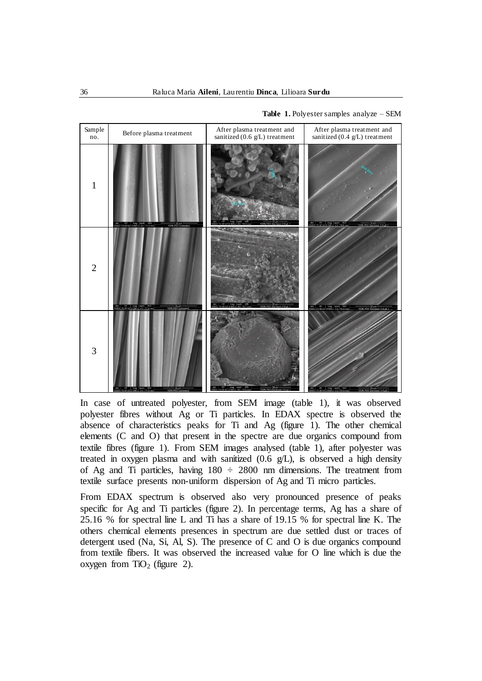

**Table 1.** Polyester samples analyze – SEM

In case of untreated polyester, from SEM image (table 1), it was observed polyester fibres without Ag or Ti particles. In EDAX spectre is observed the absence of characteristics peaks for Ti and Ag (figure 1). The other chemical elements (C and O) that present in the spectre are due organics compound from textile fibres (figure 1). From SEM images analysed (table 1), after polyester was treated in oxygen plasma and with sanitized  $(0.6 \text{ g/L})$ , is observed a high density of Ag and Ti particles, having  $180 \div 2800$  nm dimensions. The treatment from textile surface presents non-uniform dispersion of Ag and Ti micro particles.

From EDAX spectrum is observed also very pronounced presence of peaks specific for Ag and Ti particles (figure 2). In percentage terms, Ag has a share of 25.16 % for spectral line L and Ti has a share of 19.15 % for spectral line K. The others chemical elements presences in spectrum are due settled dust or traces of detergent used (Na, Si, Al, S). The presence of C and O is due organics compound from textile fibers. It was observed the increased value for O line which is due the oxygen from  $TiO<sub>2</sub>$  (figure 2).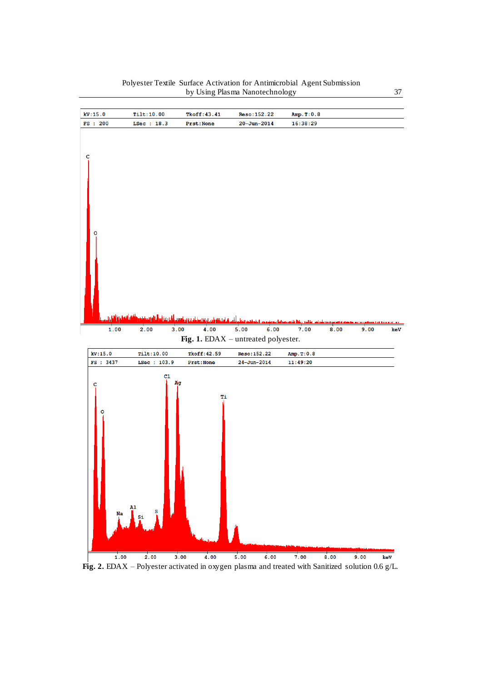

#### Polyester Textile Surface Activation for Antimicrobial Agent Submission by Using Plasma Nanotechnology 37

**Fig. 2.** EDAX – Polyester activated in oxygen plasma and treated with Sanitized solution 0.6 g/L.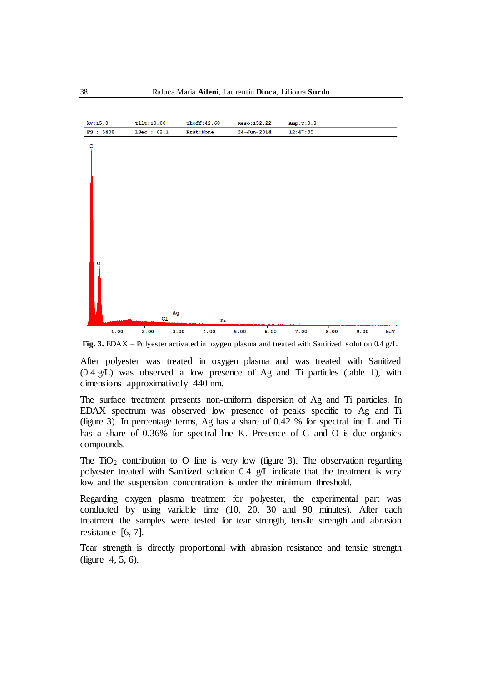

**Fig. 3.** EDAX – Polyester activated in oxygen plasma and treated with Sanitized solution 0.4 g/L.

After polyester was treated in oxygen plasma and was treated with Sanitized (0.4 g/L) was observed a low presence of Ag and Ti particles (table 1), with dimensions approximatively 440 nm.

The surface treatment presents non-uniform dispersion of Ag and Ti particles. In EDAX spectrum was observed low presence of peaks specific to Ag and Ti (figure 3). In percentage terms, Ag has a share of 0.42 % for spectral line L and Ti has a share of 0.36% for spectral line K. Presence of C and O is due organics compounds.

The TiO<sub>2</sub> contribution to O line is very low (figure 3). The observation regarding polyester treated with Sanitized solution 0.4 g/L indicate that the treatment is very low and the suspension concentration is under the minimum threshold.

Regarding oxygen plasma treatment for polyester, the experimental part was conducted by using variable time (10, 20, 30 and 90 minutes). After each treatment the samples were tested for tear strength, tensile strength and abrasion resistance [6, 7].

Tear strength is directly proportional with abrasion resistance and tensile strength (figure 4, 5, 6).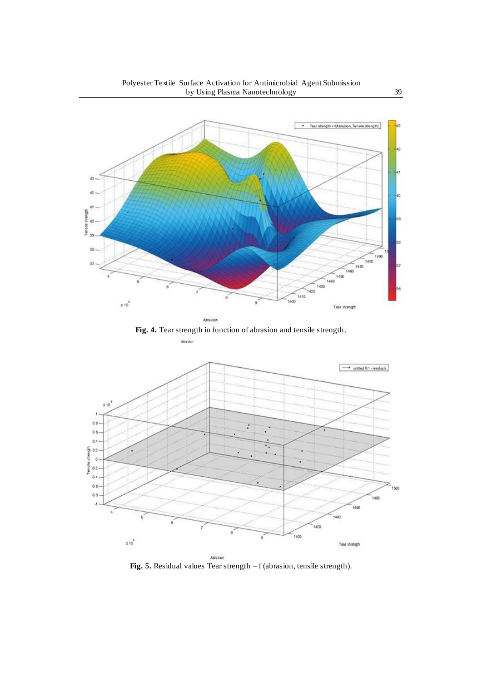

**Fig. 4.** Tear strength in function of abrasion and tensile strength.

Abrasion



**Fig. 5.** Residual values Tear strength = f (abrasion, tensile strength).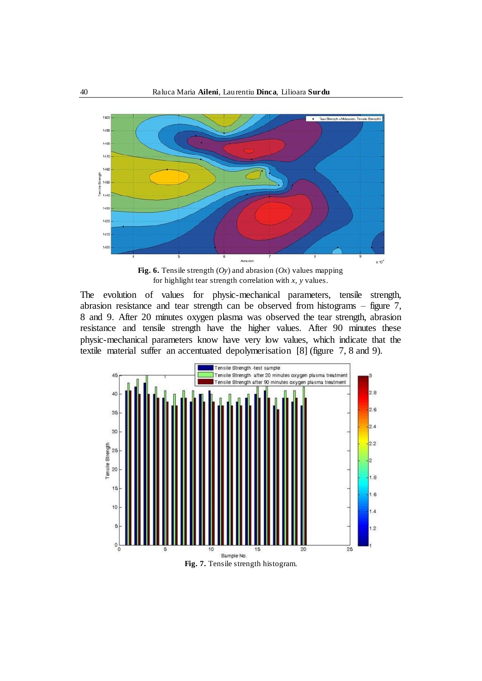

**Fig. 6.** Tensile strength  $(Oy)$  and abrasion  $(Ox)$  values mapping for highlight tear strength correlation with *x*, *y* values.

The evolution of values for physic-mechanical parameters, tensile strength, abrasion resistance and tear strength can be observed from histograms – figure 7, 8 and 9. After 20 minutes oxygen plasma was observed the tear strength, abrasion resistance and tensile strength have the higher values. After 90 minutes these physic-mechanical parameters know have very low values, which indicate that the textile material suffer an accentuated depolymerisation [8] (figure 7, 8 and 9).



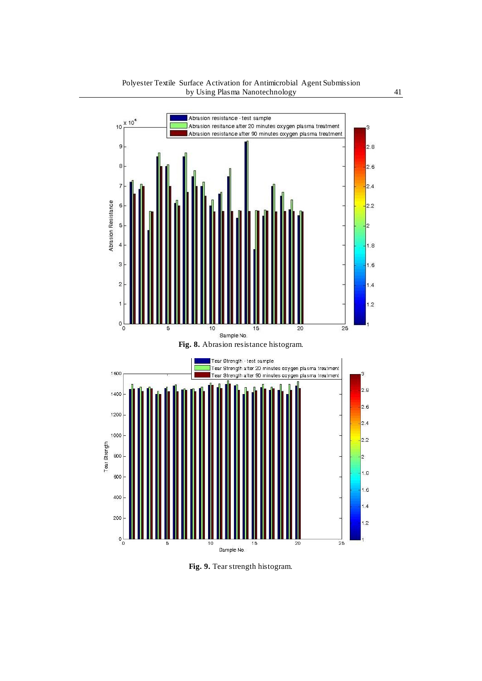

**Fig. 9.** Tear strength histogram.